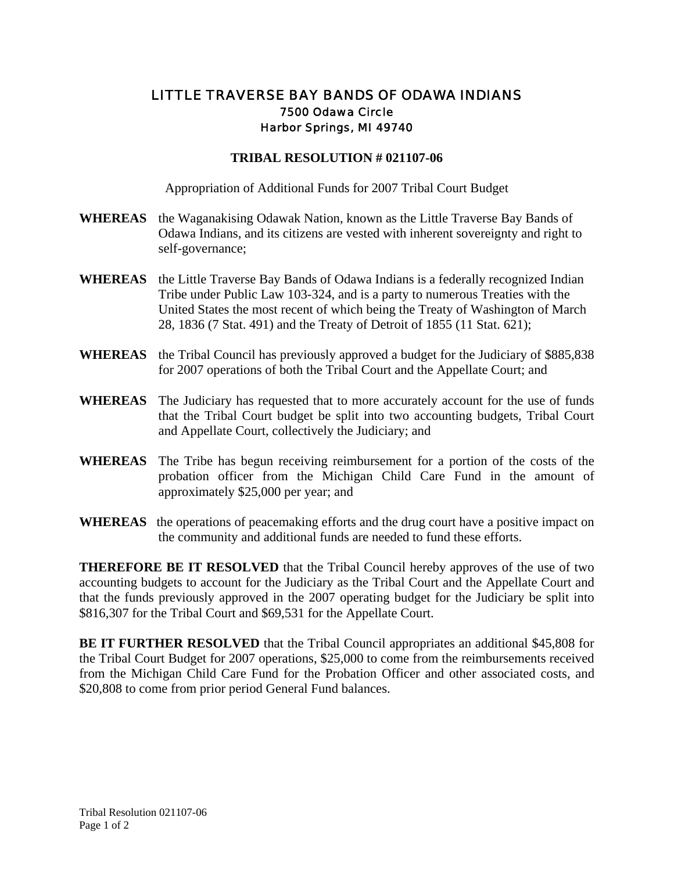## LITTLE TRAVERSE BAY BANDS OF ODAWA INDIANS 7500 Odawa Circle Harbor Springs, MI 49740

## **TRIBAL RESOLUTION # 021107-06**

Appropriation of Additional Funds for 2007 Tribal Court Budget

- **WHEREAS** the Waganakising Odawak Nation, known as the Little Traverse Bay Bands of Odawa Indians, and its citizens are vested with inherent sovereignty and right to self-governance;
- **WHEREAS** the Little Traverse Bay Bands of Odawa Indians is a federally recognized Indian Tribe under Public Law 103-324, and is a party to numerous Treaties with the United States the most recent of which being the Treaty of Washington of March 28, 1836 (7 Stat. 491) and the Treaty of Detroit of 1855 (11 Stat. 621);
- **WHEREAS** the Tribal Council has previously approved a budget for the Judiciary of \$885,838 for 2007 operations of both the Tribal Court and the Appellate Court; and
- **WHEREAS** The Judiciary has requested that to more accurately account for the use of funds that the Tribal Court budget be split into two accounting budgets, Tribal Court and Appellate Court, collectively the Judiciary; and
- **WHEREAS** The Tribe has begun receiving reimbursement for a portion of the costs of the probation officer from the Michigan Child Care Fund in the amount of approximately \$25,000 per year; and
- **WHEREAS** the operations of peacemaking efforts and the drug court have a positive impact on the community and additional funds are needed to fund these efforts.

**THEREFORE BE IT RESOLVED** that the Tribal Council hereby approves of the use of two accounting budgets to account for the Judiciary as the Tribal Court and the Appellate Court and that the funds previously approved in the 2007 operating budget for the Judiciary be split into \$816,307 for the Tribal Court and \$69,531 for the Appellate Court.

**BE IT FURTHER RESOLVED** that the Tribal Council appropriates an additional \$45,808 for the Tribal Court Budget for 2007 operations, \$25,000 to come from the reimbursements received from the Michigan Child Care Fund for the Probation Officer and other associated costs, and \$20,808 to come from prior period General Fund balances.